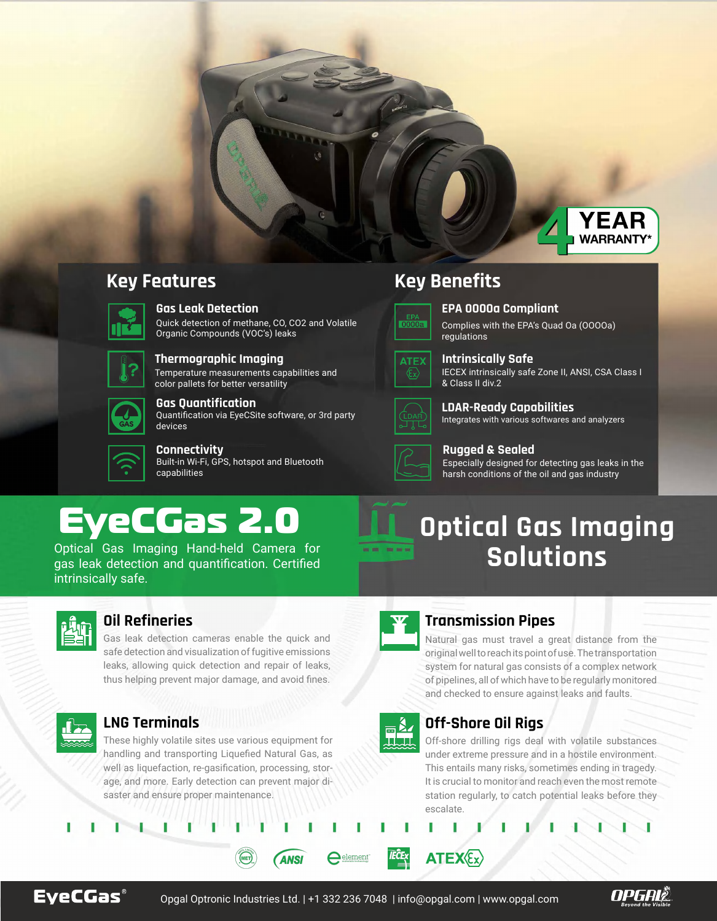EyeCGas 2.0

Optical Gas Imaging Hand-held Camera for gas leak detection and quantification. Certified intrinsically safe.



# **Key Features Key Benefits**



### **Gas Leak Detection**

Quick detection of methane, CO, CO2 and Volatile Organic Compounds (VOC's) leaks



### **Rugged & Sealed**

Especially designed for detecting gas leaks in the harsh conditions of the oil and gas industry

**Gas Quantification**

### **EPA 0000a Compliant**

Complies with the EPA's Quad Oa (OOOOa) regulations



### **Intrinsically Safe** IECEX intrinsically safe Zone II, ANSI, CSA Class I & Class II div.2



## **LDAR-Ready Capabilities**

Integrates with various softwares and analyzers



**Connectivity** Built-in Wi-Fi, GPS, hotspot and Bluetooth capabilities



### **Thermographic Imaging**

Temperature measurements capabilities and color pallets for better versatility



Quantification via EyeCSite software, or 3rd party devices



# **LNG Terminals**

## **Oil Refineries Transmission Pipes**

Natural gas must travel a great distance from the original well to reach its point of use. The transportation system for natural gas consists of a complex network of pipelines, all of which have to be regularly monitored and checked to ensure against leaks and faults.

These highly volatile sites use various equipment for handling and transporting Liquefied Natural Gas, as well as liquefaction, re-gasification, processing, storage, and more. Early detection can prevent major disaster and ensure proper maintenance.



and



Off-shore drilling rigs deal with volatile substances under extreme pressure and in a hostile environment. This entails many risks, sometimes ending in tragedy. It is crucial to monitor and reach even the most remote station regularly, to catch potential leaks before they escalate.





Gas leak detection cameras enable the quick and safe detection and visualization of fugitive emissions leaks, allowing quick detection and repair of leaks, thus helping prevent major damage, and avoid fines.

# **Optical Gas Imaging Solutions**

Opgal Optronic Industries Ltd. | +1 332 236 7048 | info@opgal.com | www.opgal.com